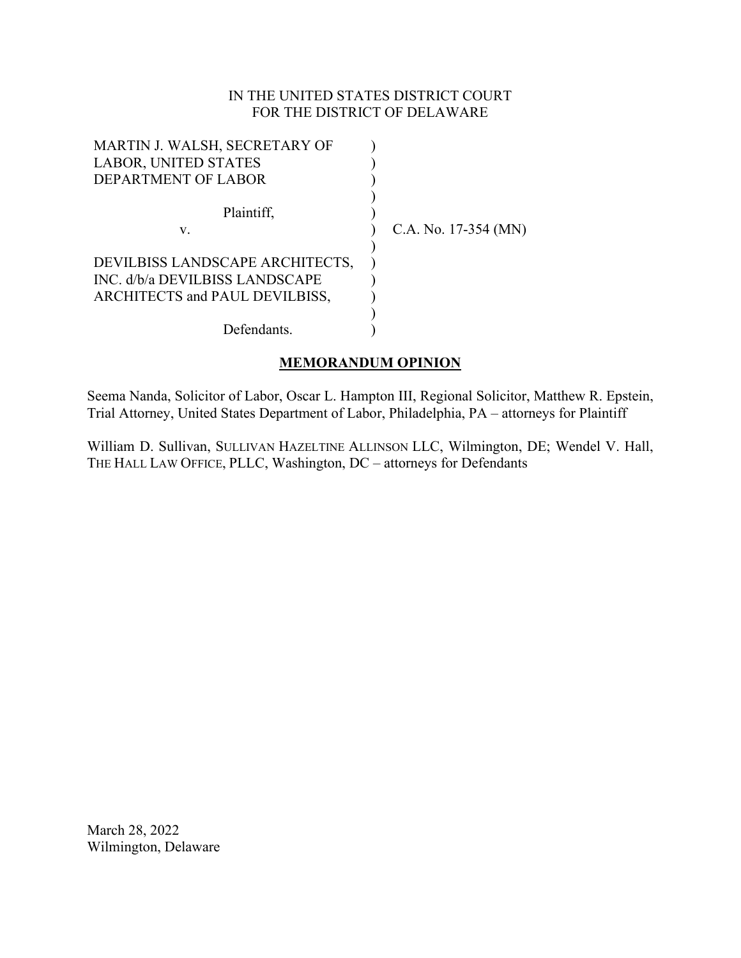# IN THE UNITED STATES DISTRICT COURT FOR THE DISTRICT OF DELAWARE

| MARTIN J. WALSH, SECRETARY OF   |                        |
|---------------------------------|------------------------|
| <b>LABOR, UNITED STATES</b>     |                        |
| DEPARTMENT OF LABOR             |                        |
|                                 |                        |
| Plaintiff,                      |                        |
| v.                              | C.A. No. $17-354$ (MN) |
|                                 |                        |
| DEVILBISS LANDSCAPE ARCHITECTS, |                        |
| INC. d/b/a DEVILBISS LANDSCAPE  |                        |
| ARCHITECTS and PAUL DEVILBISS,  |                        |
|                                 |                        |
| Defendants.                     |                        |

# **MEMORANDUM OPINION**

Seema Nanda, Solicitor of Labor, Oscar L. Hampton III, Regional Solicitor, Matthew R. Epstein, Trial Attorney, United States Department of Labor, Philadelphia, PA – attorneys for Plaintiff

William D. Sullivan, SULLIVAN HAZELTINE ALLINSON LLC, Wilmington, DE; Wendel V. Hall, THE HALL LAW OFFICE, PLLC, Washington, DC – attorneys for Defendants

March 28, 2022 Wilmington, Delaware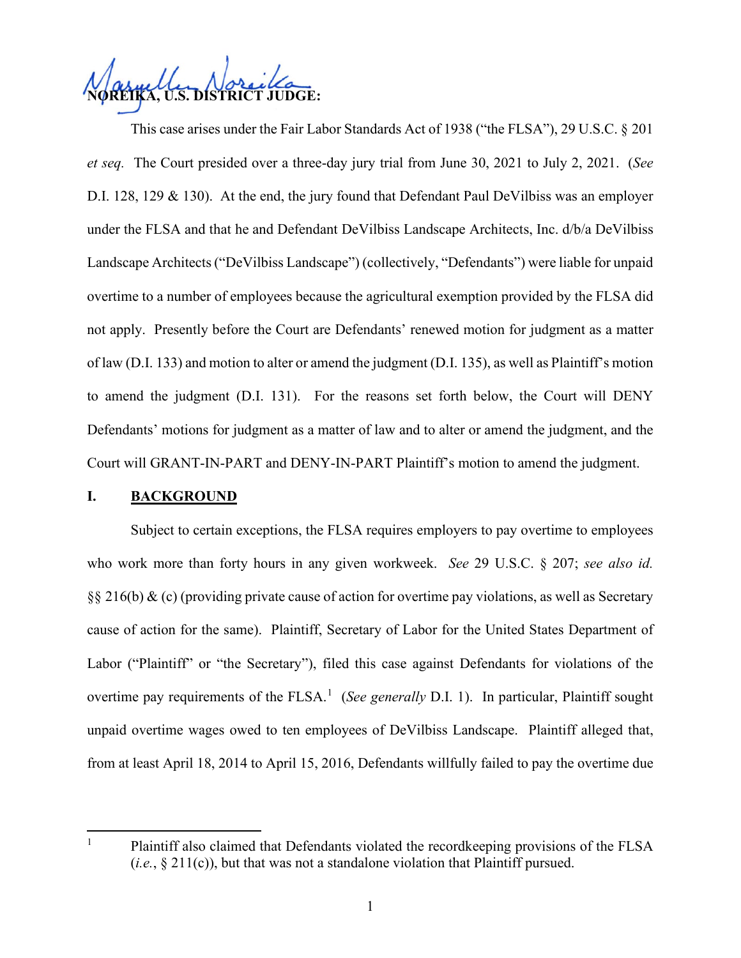**NOREIKA, U.S. DISTRICT JUDGE:**

This case arises under the Fair Labor Standards Act of 1938 ("the FLSA"), 29 U.S.C. § 201 *et seq.* The Court presided over a three-day jury trial from June 30, 2021 to July 2, 2021. (*See* D.I. 128, 129 & 130). At the end, the jury found that Defendant Paul DeVilbiss was an employer under the FLSA and that he and Defendant DeVilbiss Landscape Architects, Inc. d/b/a DeVilbiss Landscape Architects("DeVilbiss Landscape") (collectively, "Defendants") were liable for unpaid overtime to a number of employees because the agricultural exemption provided by the FLSA did not apply. Presently before the Court are Defendants' renewed motion for judgment as a matter of law (D.I. 133) and motion to alter or amend the judgment (D.I. 135), as well as Plaintiff's motion to amend the judgment (D.I. 131). For the reasons set forth below, the Court will DENY Defendants' motions for judgment as a matter of law and to alter or amend the judgment, and the Court will GRANT-IN-PART and DENY-IN-PART Plaintiff's motion to amend the judgment.

#### **I. BACKGROUND**

Subject to certain exceptions, the FLSA requires employers to pay overtime to employees who work more than forty hours in any given workweek. *See* 29 U.S.C. § 207; *see also id.* §§ 216(b) & (c) (providing private cause of action for overtime pay violations, as well as Secretary cause of action for the same). Plaintiff, Secretary of Labor for the United States Department of Labor ("Plaintiff" or "the Secretary"), filed this case against Defendants for violations of the overtime pay requirements of the FLSA.<sup>[1](#page-1-0)</sup> (See generally D.I. 1). In particular, Plaintiff sought unpaid overtime wages owed to ten employees of DeVilbiss Landscape. Plaintiff alleged that, from at least April 18, 2014 to April 15, 2016, Defendants willfully failed to pay the overtime due

<span id="page-1-0"></span>

<sup>&</sup>lt;sup>1</sup> Plaintiff also claimed that Defendants violated the recordkeeping provisions of the FLSA (*i.e.*, § 211(c)), but that was not a standalone violation that Plaintiff pursued.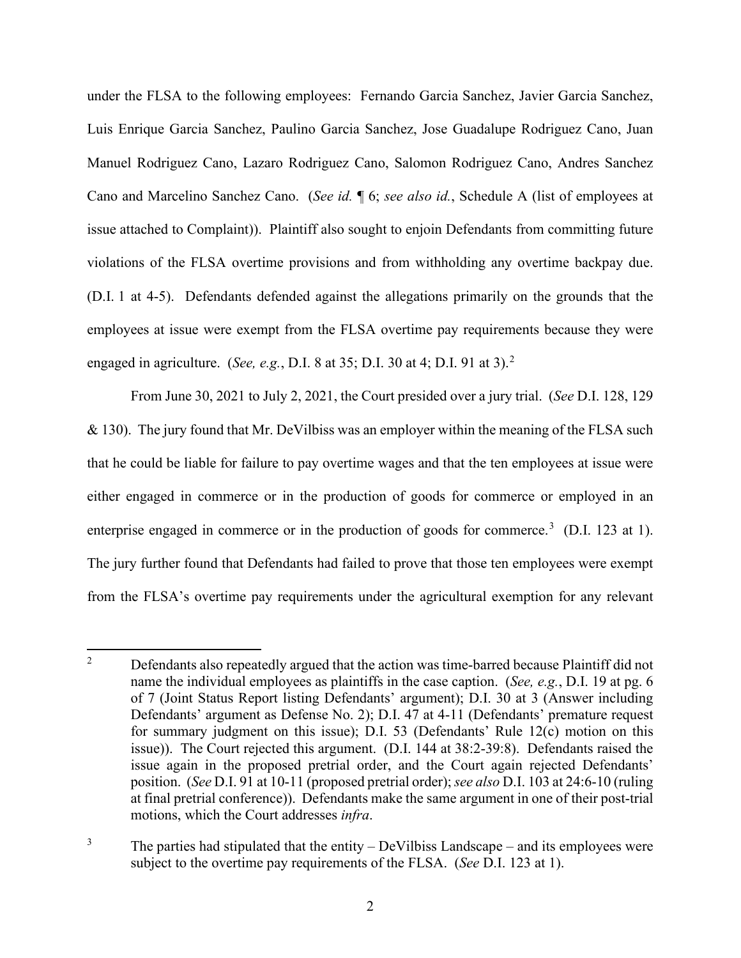under the FLSA to the following employees: Fernando Garcia Sanchez, Javier Garcia Sanchez, Luis Enrique Garcia Sanchez, Paulino Garcia Sanchez, Jose Guadalupe Rodriguez Cano, Juan Manuel Rodriguez Cano, Lazaro Rodriguez Cano, Salomon Rodriguez Cano, Andres Sanchez Cano and Marcelino Sanchez Cano. (*See id.* ¶ 6; *see also id.*, Schedule A (list of employees at issue attached to Complaint)). Plaintiff also sought to enjoin Defendants from committing future violations of the FLSA overtime provisions and from withholding any overtime backpay due. (D.I. 1 at 4-5). Defendants defended against the allegations primarily on the grounds that the employees at issue were exempt from the FLSA overtime pay requirements because they were engaged in agriculture. (*See, e.g.*, D.I. 8 at 35; D.I. 30 at 4; D.I. 91 at 3).[2](#page-2-0)

From June 30, 2021 to July 2, 2021, the Court presided over a jury trial. (*See* D.I. 128, 129 & 130). The jury found that Mr. DeVilbiss was an employer within the meaning of the FLSA such that he could be liable for failure to pay overtime wages and that the ten employees at issue were either engaged in commerce or in the production of goods for commerce or employed in an enterprise engaged in commerce or in the production of goods for commerce.<sup>[3](#page-2-1)</sup> (D.I. 123 at 1). The jury further found that Defendants had failed to prove that those ten employees were exempt from the FLSA's overtime pay requirements under the agricultural exemption for any relevant

<span id="page-2-0"></span> $2^2$  Defendants also repeatedly argued that the action was time-barred because Plaintiff did not name the individual employees as plaintiffs in the case caption. (*See, e.g.*, D.I. 19 at pg. 6 of 7 (Joint Status Report listing Defendants' argument); D.I. 30 at 3 (Answer including Defendants' argument as Defense No. 2); D.I. 47 at 4-11 (Defendants' premature request for summary judgment on this issue); D.I. 53 (Defendants' Rule 12(c) motion on this issue)). The Court rejected this argument. (D.I. 144 at 38:2-39:8). Defendants raised the issue again in the proposed pretrial order, and the Court again rejected Defendants' position. (*See* D.I. 91 at 10-11 (proposed pretrial order); *see also* D.I. 103 at 24:6-10 (ruling at final pretrial conference)). Defendants make the same argument in one of their post-trial motions, which the Court addresses *infra*.

<span id="page-2-1"></span> $3$  The parties had stipulated that the entity – DeVilbiss Landscape – and its employees were subject to the overtime pay requirements of the FLSA. (*See* D.I. 123 at 1).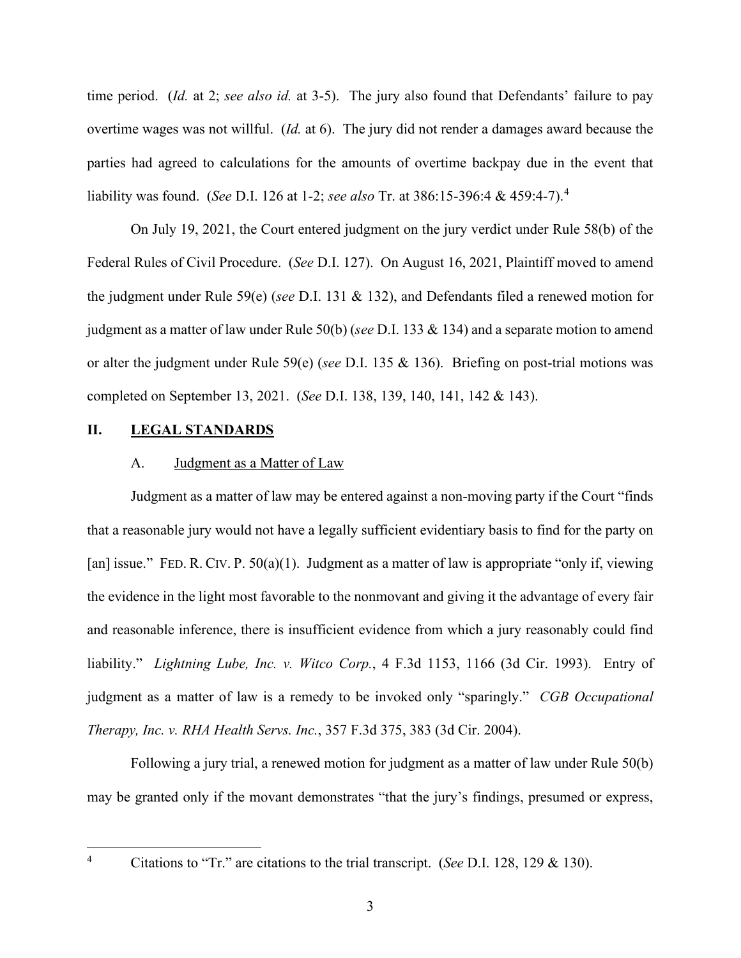time period. (*Id.* at 2; *see also id.* at 3-5). The jury also found that Defendants' failure to pay overtime wages was not willful. (*Id.* at 6). The jury did not render a damages award because the parties had agreed to calculations for the amounts of overtime backpay due in the event that liability was found. (*See* D.I. 126 at 1-2; *see also* Tr. at 386:15-396:4 & 459:4-7). [4](#page-3-0)

On July 19, 2021, the Court entered judgment on the jury verdict under Rule 58(b) of the Federal Rules of Civil Procedure. (*See* D.I. 127). On August 16, 2021, Plaintiff moved to amend the judgment under Rule 59(e) (*see* D.I. 131 & 132), and Defendants filed a renewed motion for judgment as a matter of law under Rule 50(b) (*see* D.I. 133 & 134) and a separate motion to amend or alter the judgment under Rule 59(e) (*see* D.I. 135 & 136). Briefing on post-trial motions was completed on September 13, 2021. (*See* D.I. 138, 139, 140, 141, 142 & 143).

#### **II. LEGAL STANDARDS**

#### A. Judgment as a Matter of Law

Judgment as a matter of law may be entered against a non-moving party if the Court "finds that a reasonable jury would not have a legally sufficient evidentiary basis to find for the party on [an] issue." FED. R. CIV. P. 50(a)(1). Judgment as a matter of law is appropriate "only if, viewing the evidence in the light most favorable to the nonmovant and giving it the advantage of every fair and reasonable inference, there is insufficient evidence from which a jury reasonably could find liability." *Lightning Lube, Inc. v. Witco Corp.*, 4 F.3d 1153, 1166 (3d Cir. 1993). Entry of judgment as a matter of law is a remedy to be invoked only "sparingly." *CGB Occupational Therapy, Inc. v. RHA Health Servs. Inc.*, 357 F.3d 375, 383 (3d Cir. 2004).

Following a jury trial, a renewed motion for judgment as a matter of law under Rule 50(b) may be granted only if the movant demonstrates "that the jury's findings, presumed or express,

<span id="page-3-0"></span>

<sup>4</sup> Citations to "Tr." are citations to the trial transcript. (*See* D.I. 128, 129 & 130).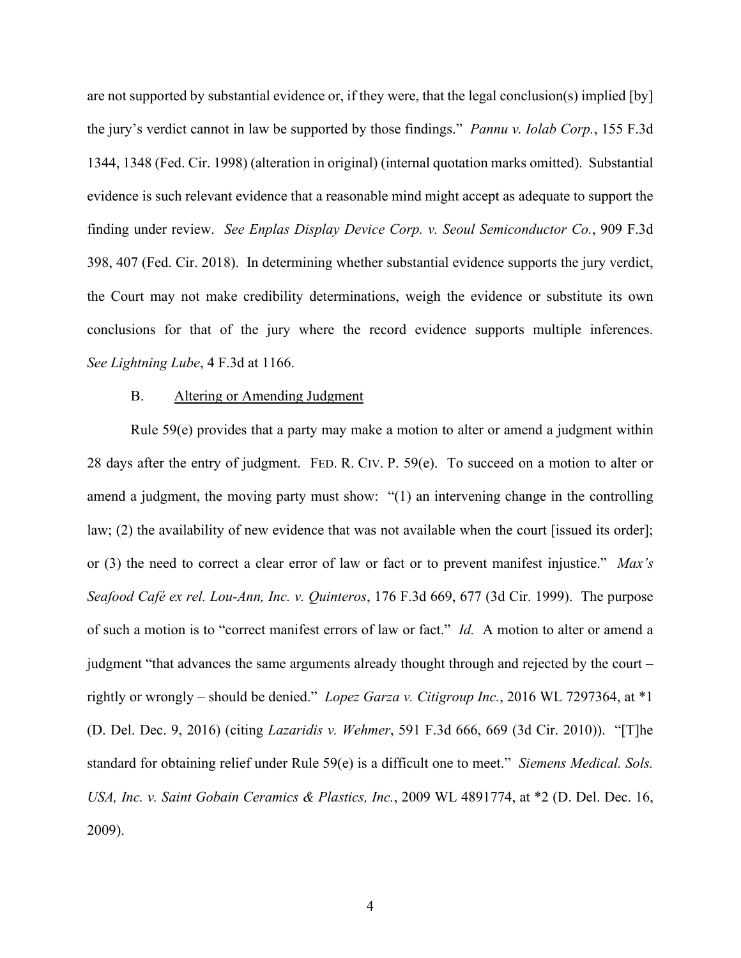are not supported by substantial evidence or, if they were, that the legal conclusion(s) implied [by] the jury's verdict cannot in law be supported by those findings." *Pannu v. Iolab Corp.*, 155 F.3d 1344, 1348 (Fed. Cir. 1998) (alteration in original) (internal quotation marks omitted). Substantial evidence is such relevant evidence that a reasonable mind might accept as adequate to support the finding under review. *See Enplas Display Device Corp. v. Seoul Semiconductor Co.*, 909 F.3d 398, 407 (Fed. Cir. 2018). In determining whether substantial evidence supports the jury verdict, the Court may not make credibility determinations, weigh the evidence or substitute its own conclusions for that of the jury where the record evidence supports multiple inferences. *See Lightning Lube*, 4 F.3d at 1166.

#### B. Altering or Amending Judgment

Rule 59(e) provides that a party may make a motion to alter or amend a judgment within 28 days after the entry of judgment. FED. R. CIV. P. 59(e). To succeed on a motion to alter or amend a judgment, the moving party must show: "(1) an intervening change in the controlling law; (2) the availability of new evidence that was not available when the court [issued its order]; or (3) the need to correct a clear error of law or fact or to prevent manifest injustice." *Max's Seafood Café ex rel. Lou-Ann, Inc. v. Quinteros*, 176 F.3d 669, 677 (3d Cir. 1999). The purpose of such a motion is to "correct manifest errors of law or fact." *Id.* A motion to alter or amend a judgment "that advances the same arguments already thought through and rejected by the court – rightly or wrongly – should be denied." *Lopez Garza v. Citigroup Inc.*, 2016 WL 7297364, at \*1 (D. Del. Dec. 9, 2016) (citing *Lazaridis v. Wehmer*, 591 F.3d 666, 669 (3d Cir. 2010)). "[T]he standard for obtaining relief under Rule 59(e) is a difficult one to meet." *Siemens Medical. Sols. USA, Inc. v. Saint Gobain Ceramics & Plastics, Inc.*, 2009 WL 4891774, at \*2 (D. Del. Dec. 16, 2009).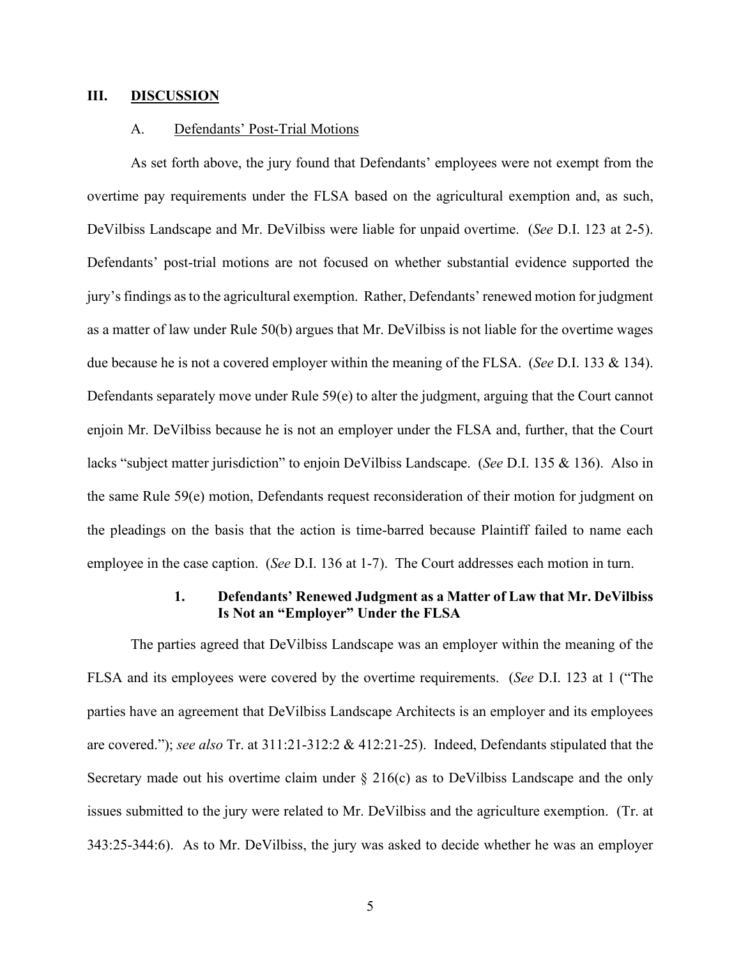#### **III. DISCUSSION**

#### A. Defendants' Post-Trial Motions

As set forth above, the jury found that Defendants' employees were not exempt from the overtime pay requirements under the FLSA based on the agricultural exemption and, as such, DeVilbiss Landscape and Mr. DeVilbiss were liable for unpaid overtime. (*See* D.I. 123 at 2-5). Defendants' post-trial motions are not focused on whether substantial evidence supported the jury's findings as to the agricultural exemption. Rather, Defendants' renewed motion for judgment as a matter of law under Rule 50(b) argues that Mr. DeVilbiss is not liable for the overtime wages due because he is not a covered employer within the meaning of the FLSA. (*See* D.I. 133 & 134). Defendants separately move under Rule 59(e) to alter the judgment, arguing that the Court cannot enjoin Mr. DeVilbiss because he is not an employer under the FLSA and, further, that the Court lacks "subject matter jurisdiction" to enjoin DeVilbiss Landscape. (*See* D.I. 135 & 136). Also in the same Rule 59(e) motion, Defendants request reconsideration of their motion for judgment on the pleadings on the basis that the action is time-barred because Plaintiff failed to name each employee in the case caption. (*See* D.I. 136 at 1-7). The Court addresses each motion in turn.

#### **1. Defendants' Renewed Judgment as a Matter of Law that Mr. DeVilbiss Is Not an "Employer" Under the FLSA**

The parties agreed that DeVilbiss Landscape was an employer within the meaning of the FLSA and its employees were covered by the overtime requirements. (*See* D.I. 123 at 1 ("The parties have an agreement that DeVilbiss Landscape Architects is an employer and its employees are covered."); *see also* Tr. at 311:21-312:2 & 412:21-25). Indeed, Defendants stipulated that the Secretary made out his overtime claim under  $\S 216(c)$  as to DeVilbiss Landscape and the only issues submitted to the jury were related to Mr. DeVilbiss and the agriculture exemption. (Tr. at 343:25-344:6). As to Mr. DeVilbiss, the jury was asked to decide whether he was an employer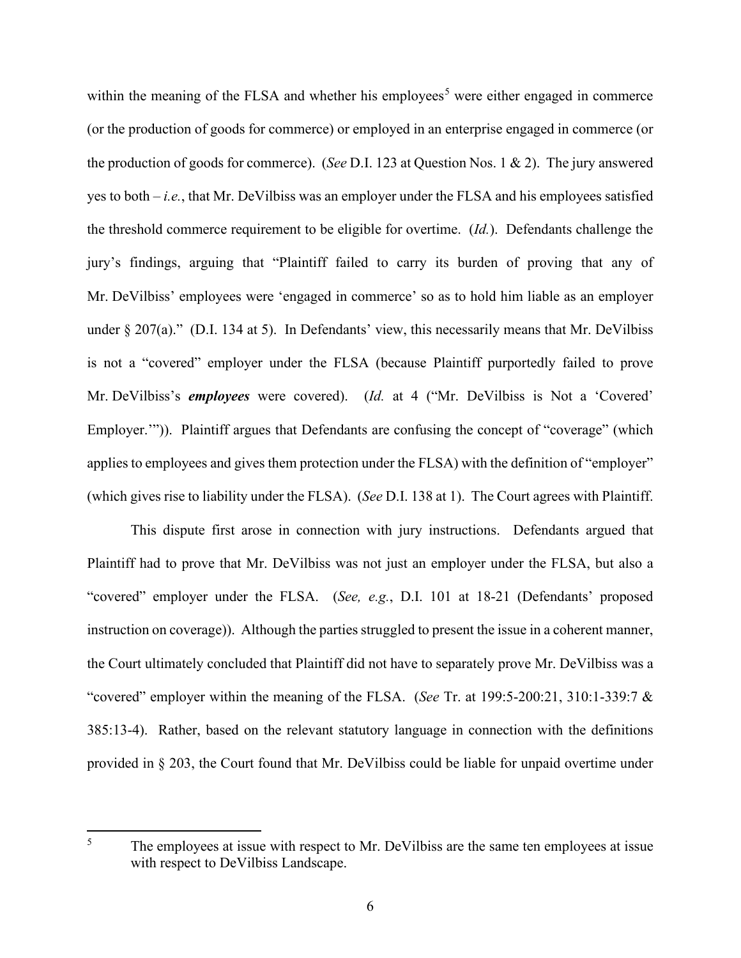within the meaning of the FLSA and whether his employees<sup>[5](#page-6-0)</sup> were either engaged in commerce (or the production of goods for commerce) or employed in an enterprise engaged in commerce (or the production of goods for commerce). (*See* D.I. 123 at Question Nos. 1 & 2). The jury answered yes to both – *i.e.*, that Mr. DeVilbiss was an employer under the FLSA and his employees satisfied the threshold commerce requirement to be eligible for overtime. (*Id.*). Defendants challenge the jury's findings, arguing that "Plaintiff failed to carry its burden of proving that any of Mr. DeVilbiss' employees were 'engaged in commerce' so as to hold him liable as an employer under § 207(a)." (D.I. 134 at 5). In Defendants' view, this necessarily means that Mr. DeVilbiss is not a "covered" employer under the FLSA (because Plaintiff purportedly failed to prove Mr. DeVilbiss's *employees* were covered). (*Id.* at 4 ("Mr. DeVilbiss is Not a 'Covered' Employer."")). Plaintiff argues that Defendants are confusing the concept of "coverage" (which applies to employees and gives them protection under the FLSA) with the definition of "employer" (which gives rise to liability under the FLSA). (*See* D.I. 138 at 1). The Court agrees with Plaintiff.

This dispute first arose in connection with jury instructions. Defendants argued that Plaintiff had to prove that Mr. DeVilbiss was not just an employer under the FLSA, but also a "covered" employer under the FLSA. (*See, e.g.*, D.I. 101 at 18-21 (Defendants' proposed instruction on coverage)). Although the parties struggled to present the issue in a coherent manner, the Court ultimately concluded that Plaintiff did not have to separately prove Mr. DeVilbiss was a "covered" employer within the meaning of the FLSA. (*See* Tr. at 199:5-200:21, 310:1-339:7 & 385:13-4). Rather, based on the relevant statutory language in connection with the definitions provided in § 203, the Court found that Mr. DeVilbiss could be liable for unpaid overtime under

<span id="page-6-0"></span><sup>&</sup>lt;sup>5</sup> The employees at issue with respect to Mr. DeVilbiss are the same ten employees at issue with respect to DeVilbiss Landscape.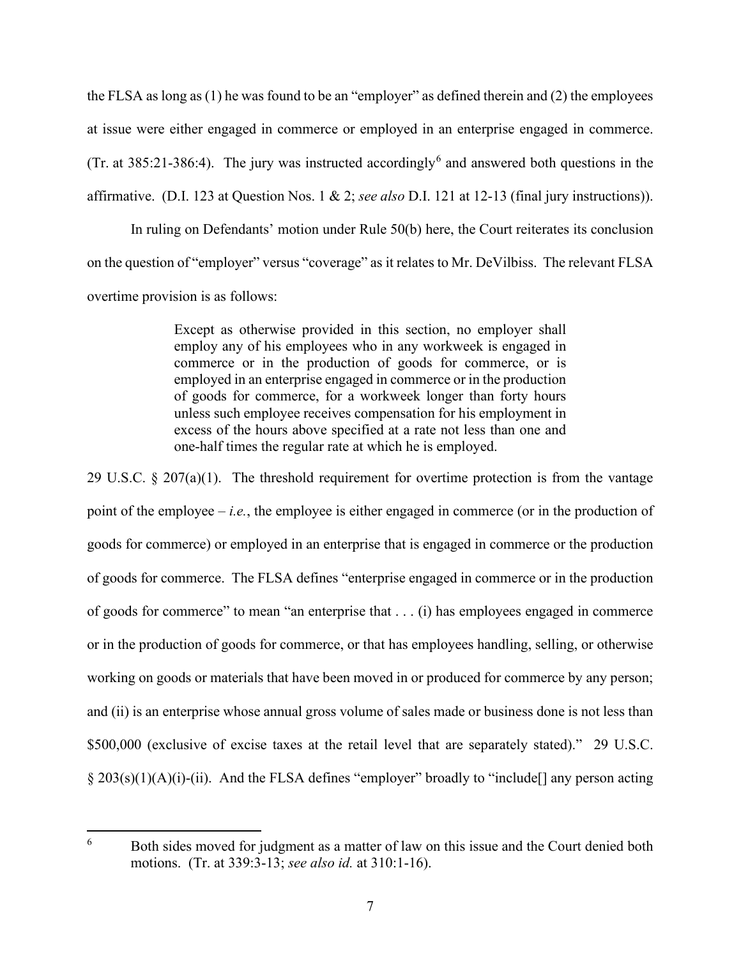the FLSA as long as (1) he was found to be an "employer" as defined therein and (2) the employees at issue were either engaged in commerce or employed in an enterprise engaged in commerce. (Tr. at 385:21-38[6](#page-7-0):4). The jury was instructed accordingly<sup>6</sup> and answered both questions in the affirmative. (D.I. 123 at Question Nos. 1 & 2; *see also* D.I. 121 at 12-13 (final jury instructions)).

In ruling on Defendants' motion under Rule 50(b) here, the Court reiterates its conclusion on the question of "employer" versus "coverage" as it relates to Mr. DeVilbiss. The relevant FLSA overtime provision is as follows:

> Except as otherwise provided in this section, no employer shall employ any of his employees who in any workweek is engaged in commerce or in the production of goods for commerce, or is employed in an enterprise engaged in commerce or in the production of goods for commerce, for a workweek longer than forty hours unless such employee receives compensation for his employment in excess of the hours above specified at a rate not less than one and one-half times the regular rate at which he is employed.

29 U.S.C.  $\S 207(a)(1)$ . The threshold requirement for overtime protection is from the vantage point of the employee – *i.e.*, the employee is either engaged in commerce (or in the production of goods for commerce) or employed in an enterprise that is engaged in commerce or the production of goods for commerce. The FLSA defines "enterprise engaged in commerce or in the production of goods for commerce" to mean "an enterprise that . . . (i) has employees engaged in commerce or in the production of goods for commerce, or that has employees handling, selling, or otherwise working on goods or materials that have been moved in or produced for commerce by any person; and (ii) is an enterprise whose annual gross volume of sales made or business done is not less than \$500,000 (exclusive of excise taxes at the retail level that are separately stated)." 29 U.S.C. § 203(s)(1)(A)(i)-(ii). And the FLSA defines "employer" broadly to "include[] any person acting

<span id="page-7-0"></span><sup>&</sup>lt;sup>6</sup> Both sides moved for judgment as a matter of law on this issue and the Court denied both motions. (Tr. at 339:3-13; *see also id.* at 310:1-16).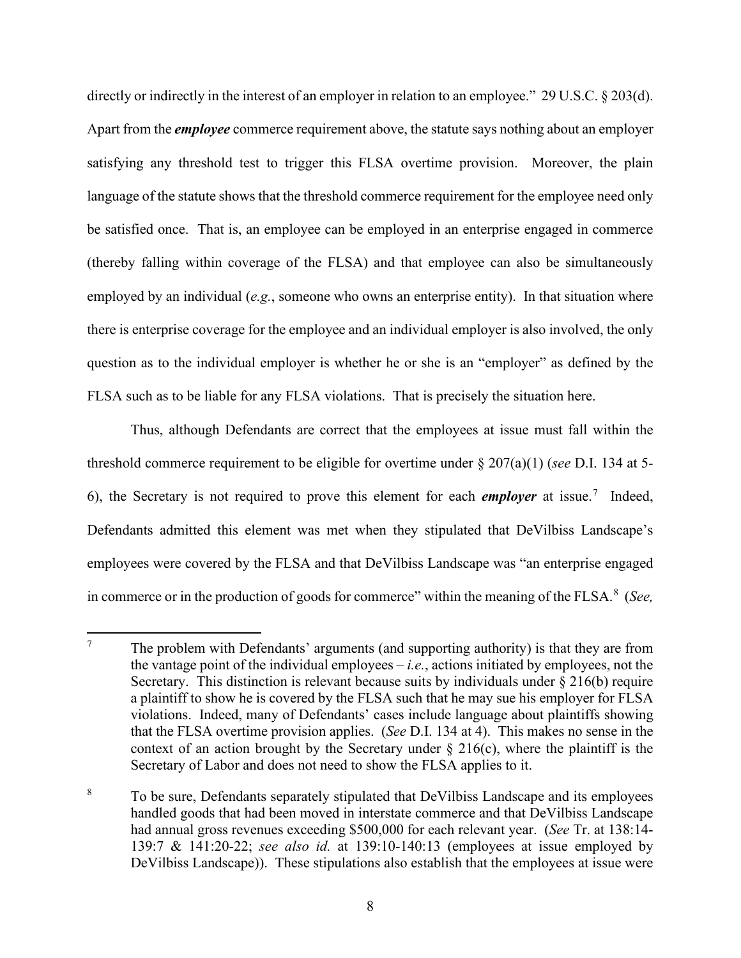directly or indirectly in the interest of an employer in relation to an employee." 29 U.S.C. § 203(d). Apart from the *employee* commerce requirement above, the statute says nothing about an employer satisfying any threshold test to trigger this FLSA overtime provision. Moreover, the plain language of the statute shows that the threshold commerce requirement for the employee need only be satisfied once. That is, an employee can be employed in an enterprise engaged in commerce (thereby falling within coverage of the FLSA) and that employee can also be simultaneously employed by an individual (*e.g.*, someone who owns an enterprise entity). In that situation where there is enterprise coverage for the employee and an individual employer is also involved, the only question as to the individual employer is whether he or she is an "employer" as defined by the FLSA such as to be liable for any FLSA violations. That is precisely the situation here.

Thus, although Defendants are correct that the employees at issue must fall within the threshold commerce requirement to be eligible for overtime under § 207(a)(1) (*see* D.I. 134 at 5- 6), the Secretary is not required to prove this element for each *employer* at issue. [7](#page-8-0) Indeed, Defendants admitted this element was met when they stipulated that DeVilbiss Landscape's employees were covered by the FLSA and that DeVilbiss Landscape was "an enterprise engaged in commerce or in the production of goods for commerce" within the meaning of the FLSA.<sup>[8](#page-8-1)</sup> (*See*,

<span id="page-8-0"></span> $7 \text{$  The problem with Defendants' arguments (and supporting authority) is that they are from the vantage point of the individual employees – *i.e.*, actions initiated by employees, not the Secretary. This distinction is relevant because suits by individuals under  $\S 216(b)$  require a plaintiff to show he is covered by the FLSA such that he may sue his employer for FLSA violations. Indeed, many of Defendants' cases include language about plaintiffs showing that the FLSA overtime provision applies. (*See* D.I. 134 at 4). This makes no sense in the context of an action brought by the Secretary under  $\S$  216(c), where the plaintiff is the Secretary of Labor and does not need to show the FLSA applies to it.

<span id="page-8-1"></span><sup>&</sup>lt;sup>8</sup> To be sure, Defendants separately stipulated that DeVilbiss Landscape and its employees handled goods that had been moved in interstate commerce and that DeVilbiss Landscape had annual gross revenues exceeding \$500,000 for each relevant year. (*See* Tr. at 138:14- 139:7 & 141:20-22; *see also id.* at 139:10-140:13 (employees at issue employed by DeVilbiss Landscape)). These stipulations also establish that the employees at issue were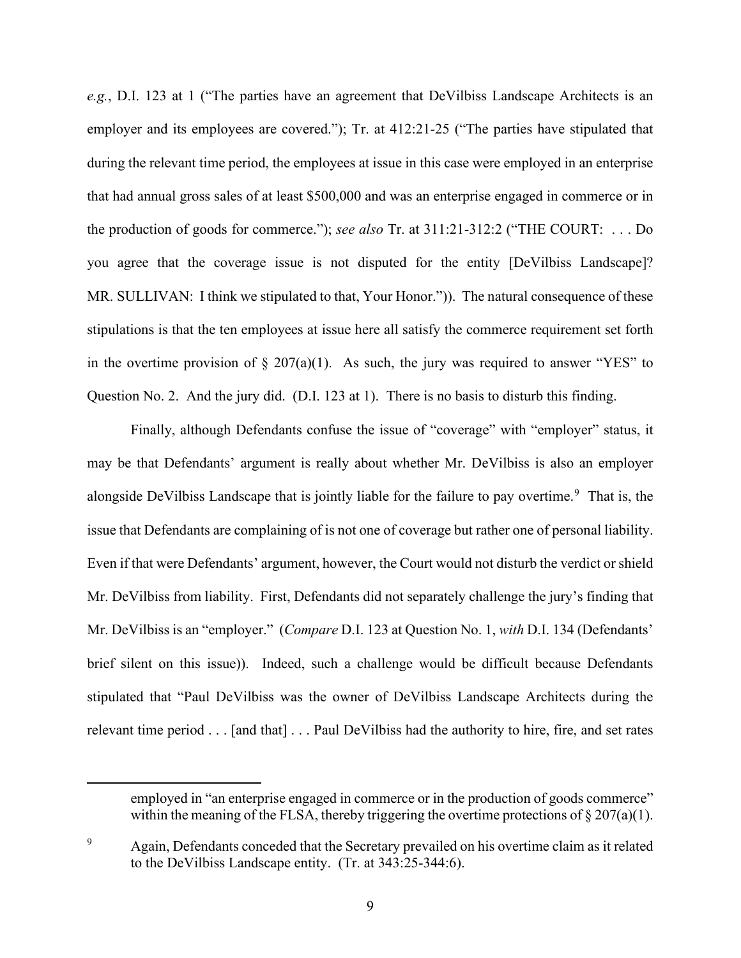*e.g.*, D.I. 123 at 1 ("The parties have an agreement that DeVilbiss Landscape Architects is an employer and its employees are covered."); Tr. at 412:21-25 ("The parties have stipulated that during the relevant time period, the employees at issue in this case were employed in an enterprise that had annual gross sales of at least \$500,000 and was an enterprise engaged in commerce or in the production of goods for commerce."); *see also* Tr. at 311:21-312:2 ("THE COURT: . . . Do you agree that the coverage issue is not disputed for the entity [DeVilbiss Landscape]? MR. SULLIVAN: I think we stipulated to that, Your Honor.")). The natural consequence of these stipulations is that the ten employees at issue here all satisfy the commerce requirement set forth in the overtime provision of  $\S 207(a)(1)$ . As such, the jury was required to answer "YES" to Question No. 2. And the jury did. (D.I. 123 at 1). There is no basis to disturb this finding.

Finally, although Defendants confuse the issue of "coverage" with "employer" status, it may be that Defendants' argument is really about whether Mr. DeVilbiss is also an employer alongside DeVilbiss Landscape that is jointly liable for the failure to pay overtime.<sup>[9](#page-9-0)</sup> That is, the issue that Defendants are complaining of is not one of coverage but rather one of personal liability. Even if that were Defendants' argument, however, the Court would not disturb the verdict or shield Mr. DeVilbiss from liability. First, Defendants did not separately challenge the jury's finding that Mr. DeVilbiss is an "employer." (*Compare* D.I. 123 at Question No. 1, *with* D.I. 134 (Defendants' brief silent on this issue)). Indeed, such a challenge would be difficult because Defendants stipulated that "Paul DeVilbiss was the owner of DeVilbiss Landscape Architects during the relevant time period . . . [and that] . . . Paul DeVilbiss had the authority to hire, fire, and set rates

employed in "an enterprise engaged in commerce or in the production of goods commerce" within the meaning of the FLSA, thereby triggering the overtime protections of  $\S 207(a)(1)$ .

<span id="page-9-0"></span><sup>&</sup>lt;sup>9</sup> Again, Defendants conceded that the Secretary prevailed on his overtime claim as it related to the DeVilbiss Landscape entity. (Tr. at 343:25-344:6).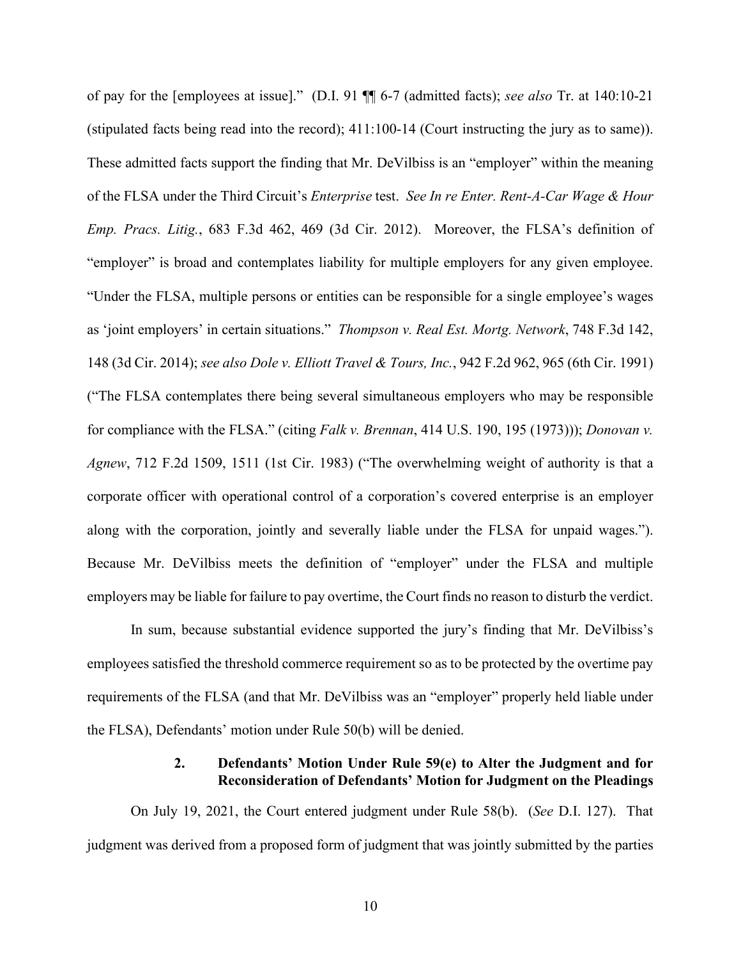of pay for the [employees at issue]." (D.I. 91 ¶¶ 6-7 (admitted facts); *see also* Tr. at 140:10-21 (stipulated facts being read into the record); 411:100-14 (Court instructing the jury as to same)). These admitted facts support the finding that Mr. DeVilbiss is an "employer" within the meaning of the FLSA under the Third Circuit's *Enterprise* test. *See In re Enter. Rent-A-Car Wage & Hour Emp. Pracs. Litig.*, 683 F.3d 462, 469 (3d Cir. 2012). Moreover, the FLSA's definition of "employer" is broad and contemplates liability for multiple employers for any given employee. "Under the FLSA, multiple persons or entities can be responsible for a single employee's wages as 'joint employers' in certain situations." *Thompson v. Real Est. Mortg. Network*, 748 F.3d 142, 148 (3d Cir. 2014); *see also Dole v. Elliott Travel & Tours, Inc.*, 942 F.2d 962, 965 (6th Cir. 1991) ("The FLSA contemplates there being several simultaneous employers who may be responsible for compliance with the FLSA." (citing *Falk v. Brennan*, 414 U.S. 190, 195 (1973))); *Donovan v. Agnew*, 712 F.2d 1509, 1511 (1st Cir. 1983) ("The overwhelming weight of authority is that a corporate officer with operational control of a corporation's covered enterprise is an employer along with the corporation, jointly and severally liable under the FLSA for unpaid wages."). Because Mr. DeVilbiss meets the definition of "employer" under the FLSA and multiple employers may be liable for failure to pay overtime, the Court finds no reason to disturb the verdict.

In sum, because substantial evidence supported the jury's finding that Mr. DeVilbiss's employees satisfied the threshold commerce requirement so as to be protected by the overtime pay requirements of the FLSA (and that Mr. DeVilbiss was an "employer" properly held liable under the FLSA), Defendants' motion under Rule 50(b) will be denied.

### **2. Defendants' Motion Under Rule 59(e) to Alter the Judgment and for Reconsideration of Defendants' Motion for Judgment on the Pleadings**

On July 19, 2021, the Court entered judgment under Rule 58(b). (*See* D.I. 127). That judgment was derived from a proposed form of judgment that was jointly submitted by the parties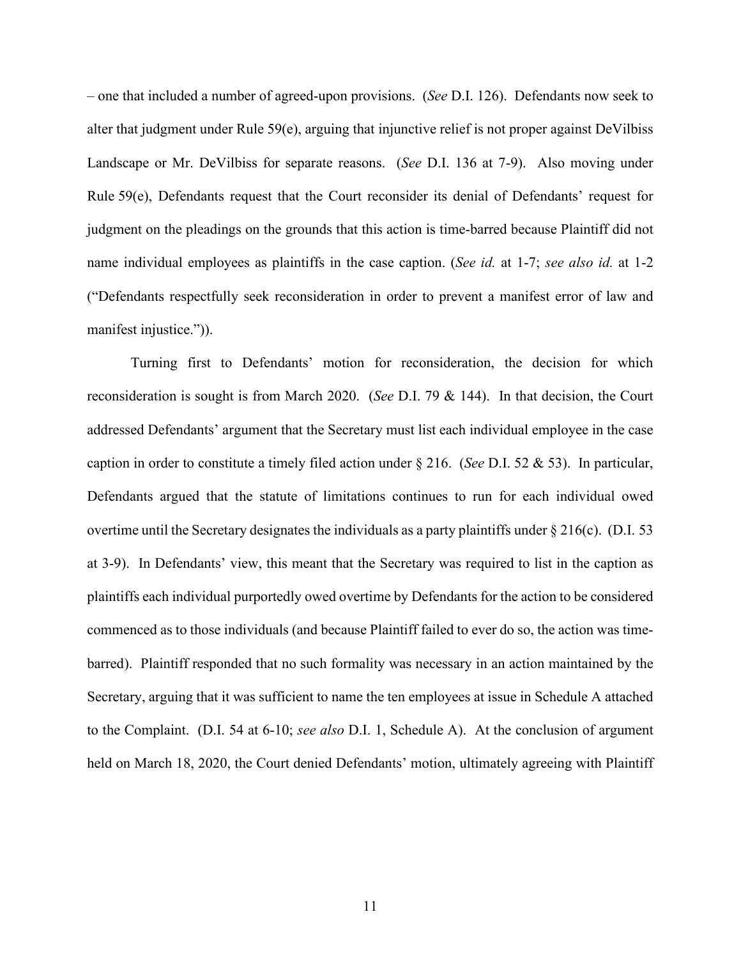– one that included a number of agreed-upon provisions. (*See* D.I. 126). Defendants now seek to alter that judgment under Rule 59(e), arguing that injunctive relief is not proper against DeVilbiss Landscape or Mr. DeVilbiss for separate reasons. (*See* D.I. 136 at 7-9). Also moving under Rule 59(e), Defendants request that the Court reconsider its denial of Defendants' request for judgment on the pleadings on the grounds that this action is time-barred because Plaintiff did not name individual employees as plaintiffs in the case caption. (*See id.* at 1-7; *see also id.* at 1-2 ("Defendants respectfully seek reconsideration in order to prevent a manifest error of law and manifest injustice.").

Turning first to Defendants' motion for reconsideration, the decision for which reconsideration is sought is from March 2020. (*See* D.I. 79 & 144). In that decision, the Court addressed Defendants' argument that the Secretary must list each individual employee in the case caption in order to constitute a timely filed action under § 216. (*See* D.I. 52 & 53). In particular, Defendants argued that the statute of limitations continues to run for each individual owed overtime until the Secretary designates the individuals as a party plaintiffs under  $\S 216(c)$ . (D.I. 53) at 3-9). In Defendants' view, this meant that the Secretary was required to list in the caption as plaintiffs each individual purportedly owed overtime by Defendants for the action to be considered commenced as to those individuals (and because Plaintiff failed to ever do so, the action was timebarred). Plaintiff responded that no such formality was necessary in an action maintained by the Secretary, arguing that it was sufficient to name the ten employees at issue in Schedule A attached to the Complaint. (D.I. 54 at 6-10; *see also* D.I. 1, Schedule A). At the conclusion of argument held on March 18, 2020, the Court denied Defendants' motion, ultimately agreeing with Plaintiff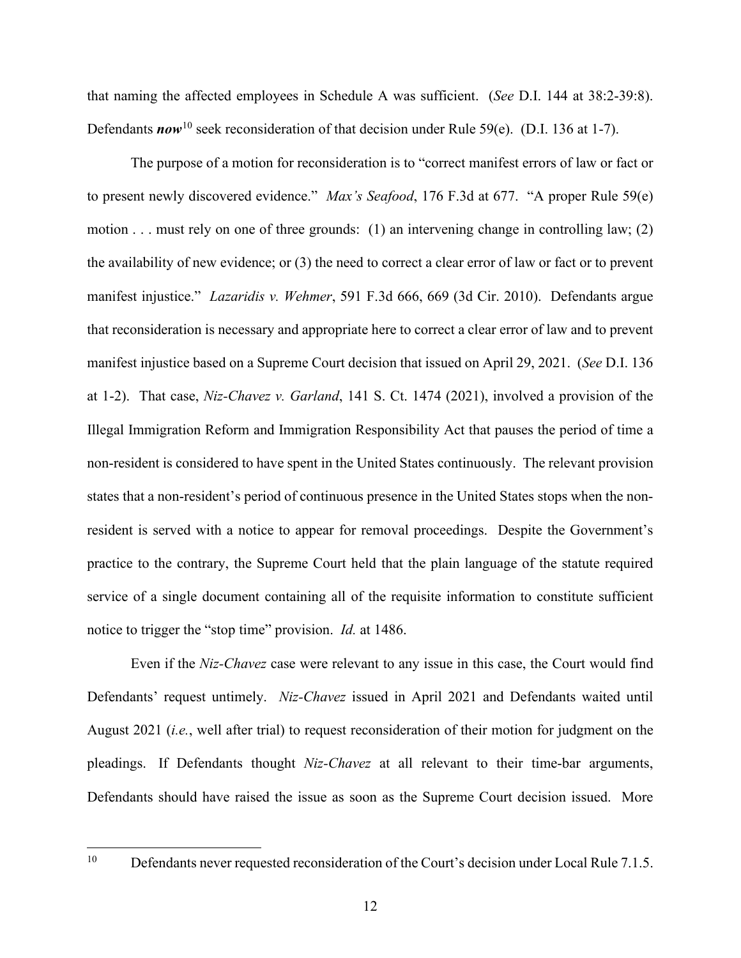that naming the affected employees in Schedule A was sufficient. (*See* D.I. 144 at 38:2-39:8). Defendants *now*<sup>[10](#page-12-0)</sup> seek reconsideration of that decision under Rule 59(e). (D.I. 136 at 1-7).

The purpose of a motion for reconsideration is to "correct manifest errors of law or fact or to present newly discovered evidence." *Max's Seafood*, 176 F.3d at 677. "A proper Rule 59(e) motion . . . must rely on one of three grounds: (1) an intervening change in controlling law; (2) the availability of new evidence; or (3) the need to correct a clear error of law or fact or to prevent manifest injustice." *Lazaridis v. Wehmer*, 591 F.3d 666, 669 (3d Cir. 2010). Defendants argue that reconsideration is necessary and appropriate here to correct a clear error of law and to prevent manifest injustice based on a Supreme Court decision that issued on April 29, 2021. (*See* D.I. 136 at 1-2). That case, *Niz-Chavez v. Garland*, 141 S. Ct. 1474 (2021), involved a provision of the Illegal Immigration Reform and Immigration Responsibility Act that pauses the period of time a non-resident is considered to have spent in the United States continuously. The relevant provision states that a non-resident's period of continuous presence in the United States stops when the nonresident is served with a notice to appear for removal proceedings. Despite the Government's practice to the contrary, the Supreme Court held that the plain language of the statute required service of a single document containing all of the requisite information to constitute sufficient notice to trigger the "stop time" provision. *Id.* at 1486.

Even if the *Niz-Chavez* case were relevant to any issue in this case, the Court would find Defendants' request untimely. *Niz-Chavez* issued in April 2021 and Defendants waited until August 2021 (*i.e.*, well after trial) to request reconsideration of their motion for judgment on the pleadings. If Defendants thought *Niz-Chavez* at all relevant to their time-bar arguments, Defendants should have raised the issue as soon as the Supreme Court decision issued. More

<span id="page-12-0"></span><sup>&</sup>lt;sup>10</sup> Defendants never requested reconsideration of the Court's decision under Local Rule 7.1.5.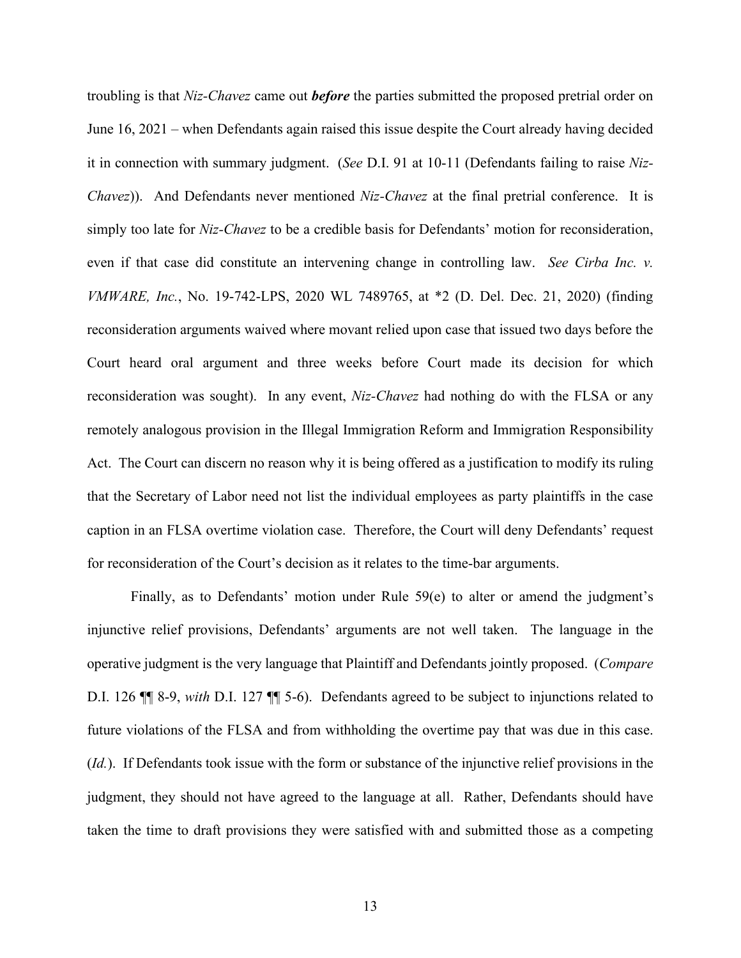troubling is that *Niz-Chavez* came out *before* the parties submitted the proposed pretrial order on June 16, 2021 – when Defendants again raised this issue despite the Court already having decided it in connection with summary judgment. (*See* D.I. 91 at 10-11 (Defendants failing to raise *Niz-Chavez*)). And Defendants never mentioned *Niz-Chavez* at the final pretrial conference. It is simply too late for *Niz-Chavez* to be a credible basis for Defendants' motion for reconsideration, even if that case did constitute an intervening change in controlling law. *See Cirba Inc. v. VMWARE, Inc.*, No. 19-742-LPS, 2020 WL 7489765, at \*2 (D. Del. Dec. 21, 2020) (finding reconsideration arguments waived where movant relied upon case that issued two days before the Court heard oral argument and three weeks before Court made its decision for which reconsideration was sought). In any event, *Niz-Chavez* had nothing do with the FLSA or any remotely analogous provision in the Illegal Immigration Reform and Immigration Responsibility Act. The Court can discern no reason why it is being offered as a justification to modify its ruling that the Secretary of Labor need not list the individual employees as party plaintiffs in the case caption in an FLSA overtime violation case. Therefore, the Court will deny Defendants' request for reconsideration of the Court's decision as it relates to the time-bar arguments.

Finally, as to Defendants' motion under Rule 59(e) to alter or amend the judgment's injunctive relief provisions, Defendants' arguments are not well taken. The language in the operative judgment is the very language that Plaintiff and Defendants jointly proposed. (*Compare* D.I. 126 ¶¶ 8-9, *with* D.I. 127 ¶¶ 5-6). Defendants agreed to be subject to injunctions related to future violations of the FLSA and from withholding the overtime pay that was due in this case. (*Id.*). If Defendants took issue with the form or substance of the injunctive relief provisions in the judgment, they should not have agreed to the language at all. Rather, Defendants should have taken the time to draft provisions they were satisfied with and submitted those as a competing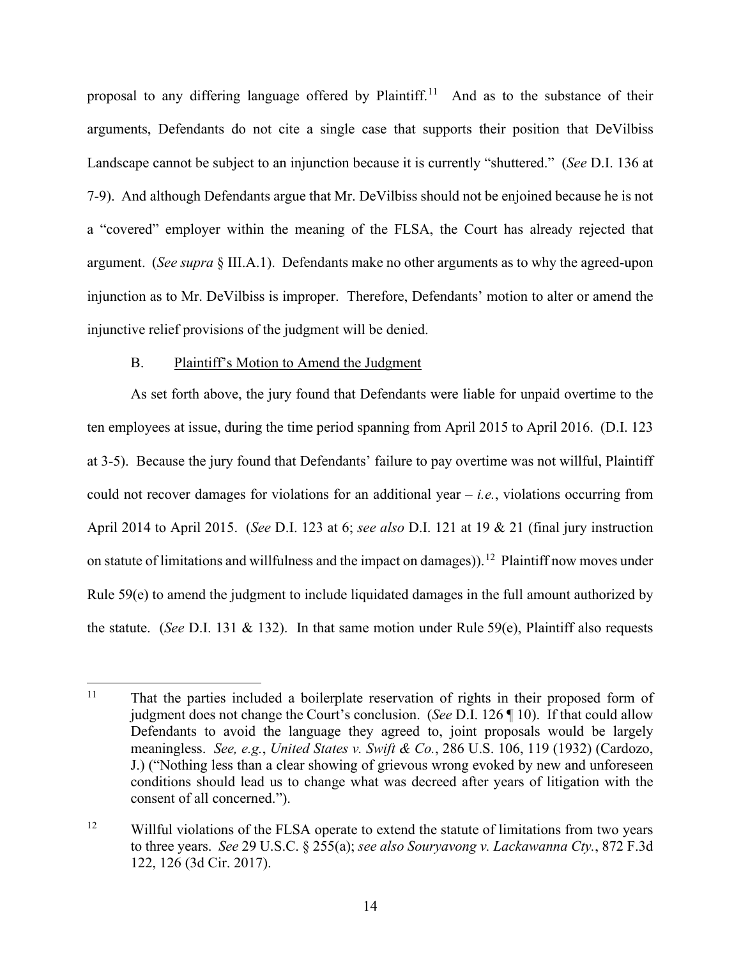proposal to any differing language offered by Plaintiff.<sup>[11](#page-14-0)</sup> And as to the substance of their arguments, Defendants do not cite a single case that supports their position that DeVilbiss Landscape cannot be subject to an injunction because it is currently "shuttered." (*See* D.I. 136 at 7-9). And although Defendants argue that Mr. DeVilbiss should not be enjoined because he is not a "covered" employer within the meaning of the FLSA, the Court has already rejected that argument. (*See supra* § III.A.1). Defendants make no other arguments as to why the agreed-upon injunction as to Mr. DeVilbiss is improper. Therefore, Defendants' motion to alter or amend the injunctive relief provisions of the judgment will be denied.

#### B. Plaintiff's Motion to Amend the Judgment

As set forth above, the jury found that Defendants were liable for unpaid overtime to the ten employees at issue, during the time period spanning from April 2015 to April 2016. (D.I. 123 at 3-5). Because the jury found that Defendants' failure to pay overtime was not willful, Plaintiff could not recover damages for violations for an additional year – *i.e.*, violations occurring from April 2014 to April 2015. (*See* D.I. 123 at 6; *see also* D.I. 121 at 19 & 21 (final jury instruction on statute of limitations and willfulness and the impact on damages)).<sup>[12](#page-14-1)</sup> Plaintiff now moves under Rule 59(e) to amend the judgment to include liquidated damages in the full amount authorized by the statute. (*See* D.I. 131 & 132). In that same motion under Rule 59(e), Plaintiff also requests

<span id="page-14-0"></span><sup>&</sup>lt;sup>11</sup> That the parties included a boilerplate reservation of rights in their proposed form of judgment does not change the Court's conclusion. (*See* D.I. 126 ¶ 10). If that could allow Defendants to avoid the language they agreed to, joint proposals would be largely meaningless. *See, e.g.*, *United States v. Swift & Co.*, 286 U.S. 106, 119 (1932) (Cardozo, J.) ("Nothing less than a clear showing of grievous wrong evoked by new and unforeseen conditions should lead us to change what was decreed after years of litigation with the consent of all concerned.").

<span id="page-14-1"></span><sup>&</sup>lt;sup>12</sup> Willful violations of the FLSA operate to extend the statute of limitations from two years to three years. *See* 29 U.S.C. § 255(a); *see also Souryavong v. Lackawanna Cty.*, 872 F.3d 122, 126 (3d Cir. 2017).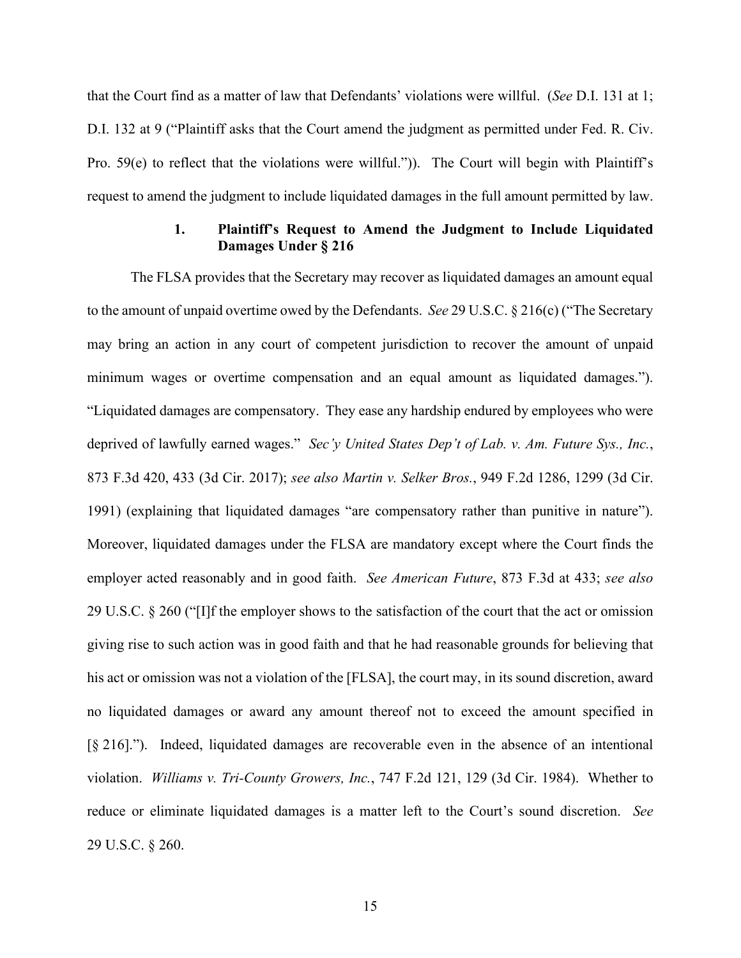that the Court find as a matter of law that Defendants' violations were willful. (*See* D.I. 131 at 1; D.I. 132 at 9 ("Plaintiff asks that the Court amend the judgment as permitted under Fed. R. Civ. Pro. 59(e) to reflect that the violations were willful.")). The Court will begin with Plaintiff's request to amend the judgment to include liquidated damages in the full amount permitted by law.

### **1. Plaintiff's Request to Amend the Judgment to Include Liquidated Damages Under § 216**

The FLSA provides that the Secretary may recover as liquidated damages an amount equal to the amount of unpaid overtime owed by the Defendants. *See* 29 U.S.C. § 216(c) ("The Secretary may bring an action in any court of competent jurisdiction to recover the amount of unpaid minimum wages or overtime compensation and an equal amount as liquidated damages."). "Liquidated damages are compensatory. They ease any hardship endured by employees who were deprived of lawfully earned wages." *Sec'y United States Dep't of Lab. v. Am. Future Sys., Inc.*, 873 F.3d 420, 433 (3d Cir. 2017); *see also Martin v. Selker Bros.*, 949 F.2d 1286, 1299 (3d Cir. 1991) (explaining that liquidated damages "are compensatory rather than punitive in nature"). Moreover, liquidated damages under the FLSA are mandatory except where the Court finds the employer acted reasonably and in good faith. *See American Future*, 873 F.3d at 433; *see also* 29 U.S.C. § 260 ("[I]f the employer shows to the satisfaction of the court that the act or omission giving rise to such action was in good faith and that he had reasonable grounds for believing that his act or omission was not a violation of the [FLSA], the court may, in its sound discretion, award no liquidated damages or award any amount thereof not to exceed the amount specified in [§ 216]."). Indeed, liquidated damages are recoverable even in the absence of an intentional violation. *Williams v. Tri-County Growers, Inc.*, 747 F.2d 121, 129 (3d Cir. 1984). Whether to reduce or eliminate liquidated damages is a matter left to the Court's sound discretion. *See* 29 U.S.C. § 260.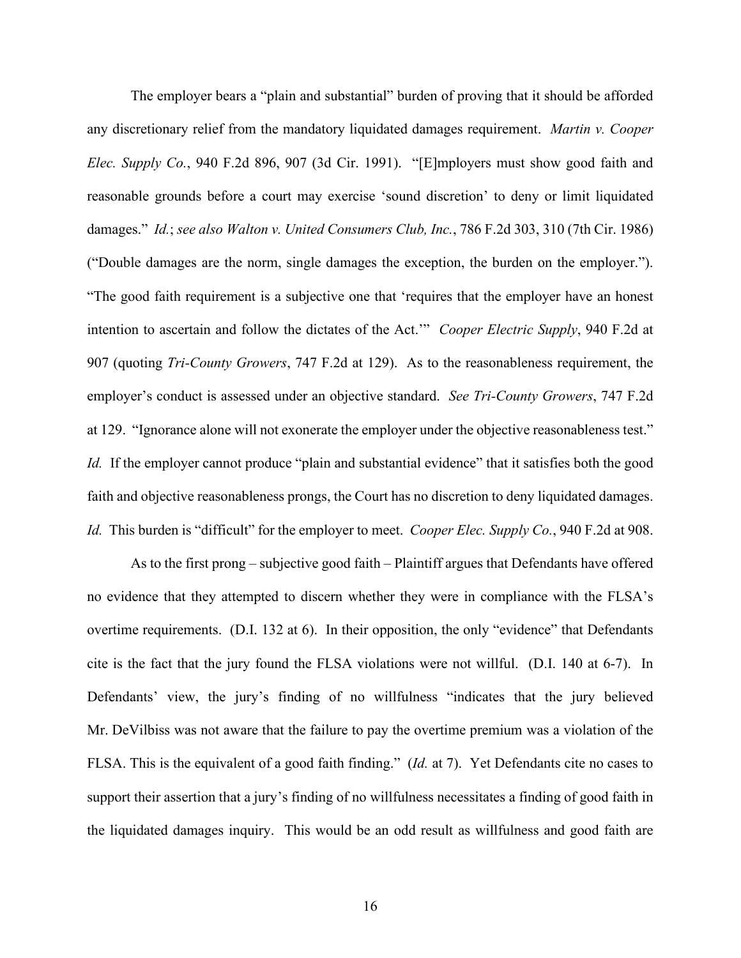The employer bears a "plain and substantial" burden of proving that it should be afforded any discretionary relief from the mandatory liquidated damages requirement. *Martin v. Cooper Elec. Supply Co.*, 940 F.2d 896, 907 (3d Cir. 1991). "[E]mployers must show good faith and reasonable grounds before a court may exercise 'sound discretion' to deny or limit liquidated damages." *Id.*; *see also Walton v. United Consumers Club, Inc.*, 786 F.2d 303, 310 (7th Cir. 1986) ("Double damages are the norm, single damages the exception, the burden on the employer."). "The good faith requirement is a subjective one that 'requires that the employer have an honest intention to ascertain and follow the dictates of the Act.'" *Cooper Electric Supply*, 940 F.2d at 907 (quoting *Tri-County Growers*, 747 F.2d at 129). As to the reasonableness requirement, the employer's conduct is assessed under an objective standard. *See Tri-County Growers*, 747 F.2d at 129. "Ignorance alone will not exonerate the employer under the objective reasonableness test." *Id.* If the employer cannot produce "plain and substantial evidence" that it satisfies both the good faith and objective reasonableness prongs, the Court has no discretion to deny liquidated damages. *Id.* This burden is "difficult" for the employer to meet. *Cooper Elec. Supply Co.*, 940 F.2d at 908.

As to the first prong – subjective good faith – Plaintiff argues that Defendants have offered no evidence that they attempted to discern whether they were in compliance with the FLSA's overtime requirements. (D.I. 132 at 6). In their opposition, the only "evidence" that Defendants cite is the fact that the jury found the FLSA violations were not willful. (D.I. 140 at 6-7). In Defendants' view, the jury's finding of no willfulness "indicates that the jury believed Mr. DeVilbiss was not aware that the failure to pay the overtime premium was a violation of the FLSA. This is the equivalent of a good faith finding." (*Id.* at 7). Yet Defendants cite no cases to support their assertion that a jury's finding of no willfulness necessitates a finding of good faith in the liquidated damages inquiry. This would be an odd result as willfulness and good faith are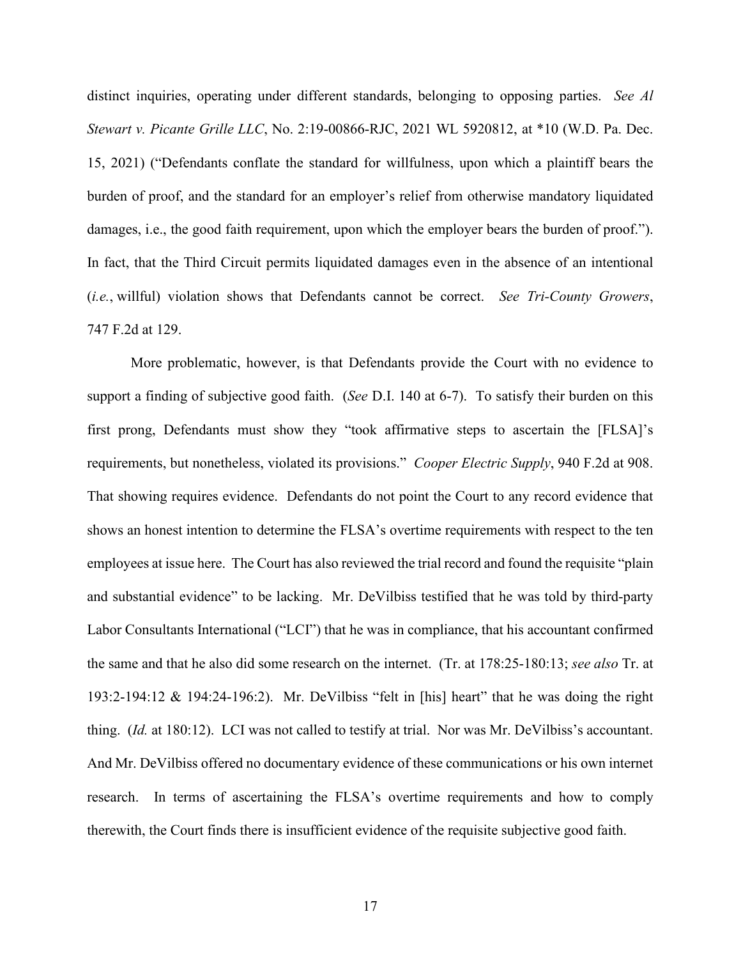distinct inquiries, operating under different standards, belonging to opposing parties. *See Al Stewart v. Picante Grille LLC*, No. 2:19-00866-RJC, 2021 WL 5920812, at \*10 (W.D. Pa. Dec. 15, 2021) ("Defendants conflate the standard for willfulness, upon which a plaintiff bears the burden of proof, and the standard for an employer's relief from otherwise mandatory liquidated damages, i.e., the good faith requirement, upon which the employer bears the burden of proof."). In fact, that the Third Circuit permits liquidated damages even in the absence of an intentional (*i.e.*, willful) violation shows that Defendants cannot be correct. *See Tri-County Growers*, 747 F.2d at 129.

More problematic, however, is that Defendants provide the Court with no evidence to support a finding of subjective good faith. (*See* D.I. 140 at 6-7). To satisfy their burden on this first prong, Defendants must show they "took affirmative steps to ascertain the [FLSA]'s requirements, but nonetheless, violated its provisions." *Cooper Electric Supply*, 940 F.2d at 908. That showing requires evidence. Defendants do not point the Court to any record evidence that shows an honest intention to determine the FLSA's overtime requirements with respect to the ten employees at issue here. The Court has also reviewed the trial record and found the requisite "plain and substantial evidence" to be lacking. Mr. DeVilbiss testified that he was told by third-party Labor Consultants International ("LCI") that he was in compliance, that his accountant confirmed the same and that he also did some research on the internet. (Tr. at 178:25-180:13; *see also* Tr. at 193:2-194:12 & 194:24-196:2). Mr. DeVilbiss "felt in [his] heart" that he was doing the right thing. (*Id.* at 180:12). LCI was not called to testify at trial. Nor was Mr. DeVilbiss's accountant. And Mr. DeVilbiss offered no documentary evidence of these communications or his own internet research. In terms of ascertaining the FLSA's overtime requirements and how to comply therewith, the Court finds there is insufficient evidence of the requisite subjective good faith.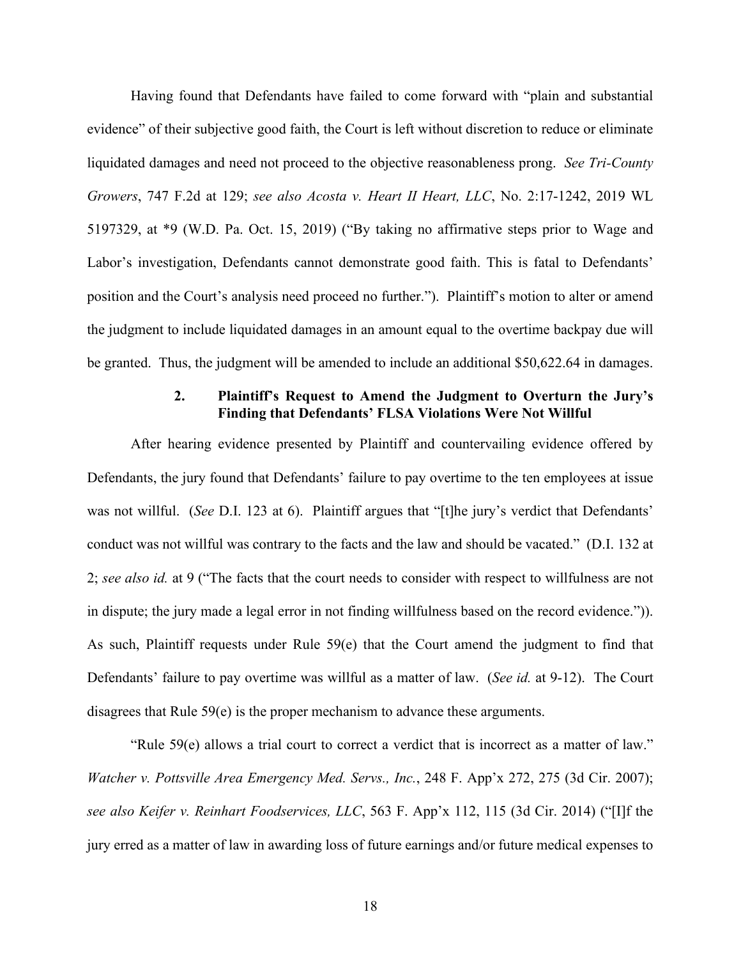Having found that Defendants have failed to come forward with "plain and substantial evidence" of their subjective good faith, the Court is left without discretion to reduce or eliminate liquidated damages and need not proceed to the objective reasonableness prong. *See Tri-County Growers*, 747 F.2d at 129; *see also Acosta v. Heart II Heart, LLC*, No. 2:17-1242, 2019 WL 5197329, at \*9 (W.D. Pa. Oct. 15, 2019) ("By taking no affirmative steps prior to Wage and Labor's investigation, Defendants cannot demonstrate good faith. This is fatal to Defendants' position and the Court's analysis need proceed no further."). Plaintiff's motion to alter or amend the judgment to include liquidated damages in an amount equal to the overtime backpay due will be granted. Thus, the judgment will be amended to include an additional \$50,622.64 in damages.

## **2. Plaintiff's Request to Amend the Judgment to Overturn the Jury's Finding that Defendants' FLSA Violations Were Not Willful**

After hearing evidence presented by Plaintiff and countervailing evidence offered by Defendants, the jury found that Defendants' failure to pay overtime to the ten employees at issue was not willful. (*See* D.I. 123 at 6). Plaintiff argues that "[t]he jury's verdict that Defendants' conduct was not willful was contrary to the facts and the law and should be vacated." (D.I. 132 at 2; *see also id.* at 9 ("The facts that the court needs to consider with respect to willfulness are not in dispute; the jury made a legal error in not finding willfulness based on the record evidence.")). As such, Plaintiff requests under Rule 59(e) that the Court amend the judgment to find that Defendants' failure to pay overtime was willful as a matter of law. (*See id.* at 9-12). The Court disagrees that Rule 59(e) is the proper mechanism to advance these arguments.

"Rule 59(e) allows a trial court to correct a verdict that is incorrect as a matter of law." *Watcher v. Pottsville Area Emergency Med. Servs., Inc.*, 248 F. App'x 272, 275 (3d Cir. 2007); *see also Keifer v. Reinhart Foodservices, LLC*, 563 F. App'x 112, 115 (3d Cir. 2014) ("[I]f the jury erred as a matter of law in awarding loss of future earnings and/or future medical expenses to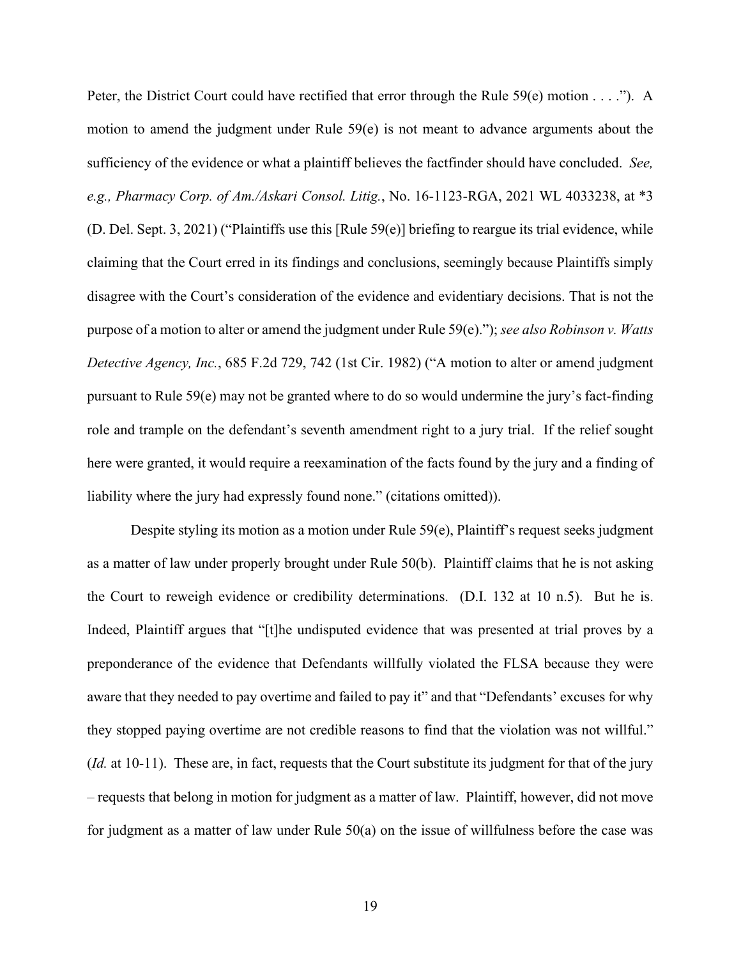Peter, the District Court could have rectified that error through the Rule 59(e) motion . . . ."). A motion to amend the judgment under Rule 59(e) is not meant to advance arguments about the sufficiency of the evidence or what a plaintiff believes the factfinder should have concluded. *See, e.g., Pharmacy Corp. of Am./Askari Consol. Litig.*, No. 16-1123-RGA, 2021 WL 4033238, at \*3 (D. Del. Sept. 3, 2021) ("Plaintiffs use this [Rule 59(e)] briefing to reargue its trial evidence, while claiming that the Court erred in its findings and conclusions, seemingly because Plaintiffs simply disagree with the Court's consideration of the evidence and evidentiary decisions. That is not the purpose of a motion to alter or amend the judgment under Rule 59(e)."); *see also Robinson v. Watts Detective Agency, Inc.*, 685 F.2d 729, 742 (1st Cir. 1982) ("A motion to alter or amend judgment pursuant to Rule 59(e) may not be granted where to do so would undermine the jury's fact-finding role and trample on the defendant's seventh amendment right to a jury trial. If the relief sought here were granted, it would require a reexamination of the facts found by the jury and a finding of liability where the jury had expressly found none." (citations omitted)).

Despite styling its motion as a motion under Rule  $59(e)$ , Plaintiff's request seeks judgment as a matter of law under properly brought under Rule 50(b). Plaintiff claims that he is not asking the Court to reweigh evidence or credibility determinations. (D.I. 132 at 10 n.5). But he is. Indeed, Plaintiff argues that "[t]he undisputed evidence that was presented at trial proves by a preponderance of the evidence that Defendants willfully violated the FLSA because they were aware that they needed to pay overtime and failed to pay it" and that "Defendants' excuses for why they stopped paying overtime are not credible reasons to find that the violation was not willful." (*Id.* at 10-11). These are, in fact, requests that the Court substitute its judgment for that of the jury – requests that belong in motion for judgment as a matter of law. Plaintiff, however, did not move for judgment as a matter of law under Rule 50(a) on the issue of willfulness before the case was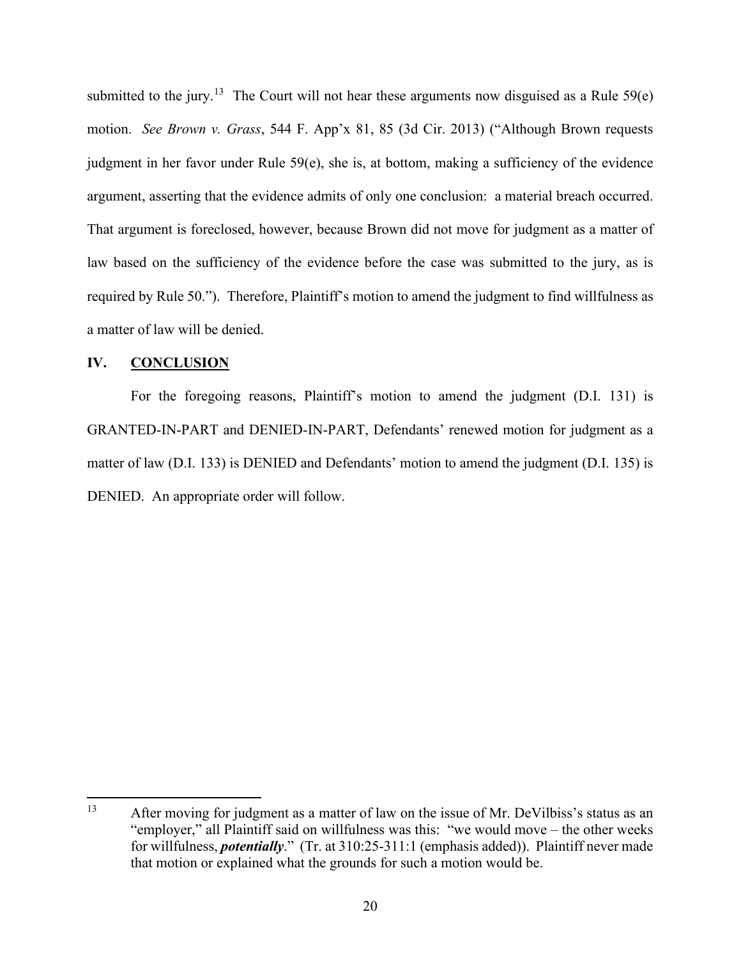submitted to the jury.<sup>[13](#page-20-0)</sup> The Court will not hear these arguments now disguised as a Rule  $59(e)$ motion. *See Brown v. Grass*, 544 F. App'x 81, 85 (3d Cir. 2013) ("Although Brown requests judgment in her favor under Rule 59(e), she is, at bottom, making a sufficiency of the evidence argument, asserting that the evidence admits of only one conclusion: a material breach occurred. That argument is foreclosed, however, because Brown did not move for judgment as a matter of law based on the sufficiency of the evidence before the case was submitted to the jury, as is required by Rule 50."). Therefore, Plaintiff's motion to amend the judgment to find willfulness as a matter of law will be denied.

### **IV. CONCLUSION**

For the foregoing reasons, Plaintiff's motion to amend the judgment (D.I. 131) is GRANTED-IN-PART and DENIED-IN-PART, Defendants' renewed motion for judgment as a matter of law (D.I. 133) is DENIED and Defendants' motion to amend the judgment (D.I. 135) is DENIED. An appropriate order will follow.

<span id="page-20-0"></span><sup>&</sup>lt;sup>13</sup> After moving for judgment as a matter of law on the issue of Mr. DeVilbiss's status as an "employer," all Plaintiff said on willfulness was this: "we would move – the other weeks for willfulness, *potentially*." (Tr. at 310:25-311:1 (emphasis added)). Plaintiff never made that motion or explained what the grounds for such a motion would be.